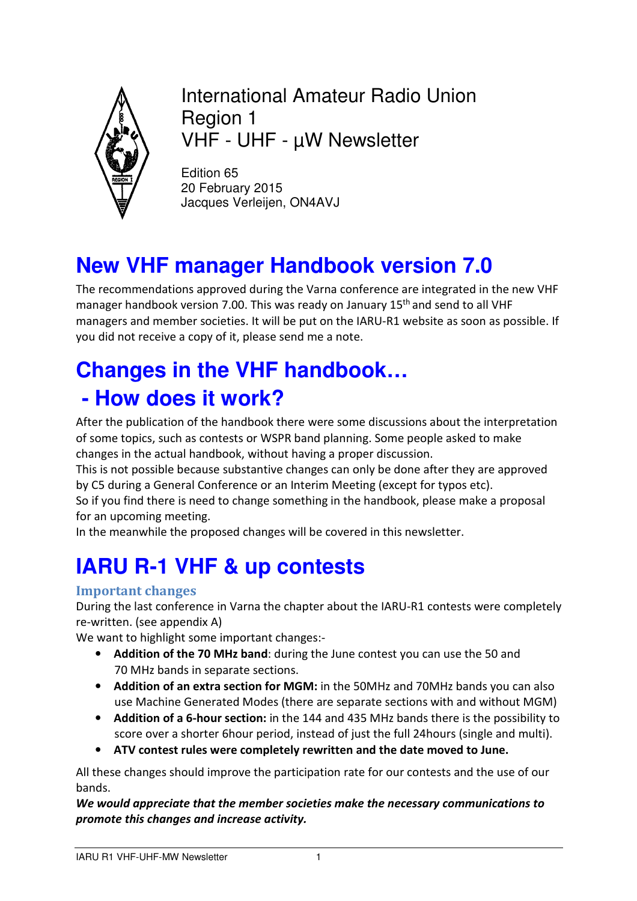

International Amateur Radio Union Region 1 VHF - UHF - µW Newsletter

Edition 65 20 February 2015 Jacques Verleijen, ON4AVJ

## **New VHF manager Handbook version 7.0**

The recommendations approved during the Varna conference are integrated in the new VHF manager handbook version 7.00. This was ready on January 15<sup>th</sup> and send to all VHF managers and member societies. It will be put on the IARU-R1 website as soon as possible. If you did not receive a copy of it, please send me a note.

# **Changes in the VHF handbook… - How does it work?**

After the publication of the handbook there were some discussions about the interpretation of some topics, such as contests or WSPR band planning. Some people asked to make changes in the actual handbook, without having a proper discussion.

This is not possible because substantive changes can only be done after they are approved by C5 during a General Conference or an Interim Meeting (except for typos etc).

So if you find there is need to change something in the handbook, please make a proposal for an upcoming meeting.

In the meanwhile the proposed changes will be covered in this newsletter.

# **IARU R-1 VHF & up contests**

### **Important changes**

During the last conference in Varna the chapter about the IARU-R1 contests were completely re-written. (see appendix A)

We want to highlight some important changes:-

- **Addition of the 70 MHz band**: during the June contest you can use the 50 and 70 MHz bands in separate sections.
- **Addition of an extra section for MGM:** in the 50MHz and 70MHz bands you can also use Machine Generated Modes (there are separate sections with and without MGM)
- **Addition of a 6-hour section:** in the 144 and 435 MHz bands there is the possibility to score over a shorter 6hour period, instead of just the full 24hours (single and multi).
- **ATV contest rules were completely rewritten and the date moved to June.**

All these changes should improve the participation rate for our contests and the use of our bands.

*We would appreciate that the member societies make the necessary communications to promote this changes and increase activity.*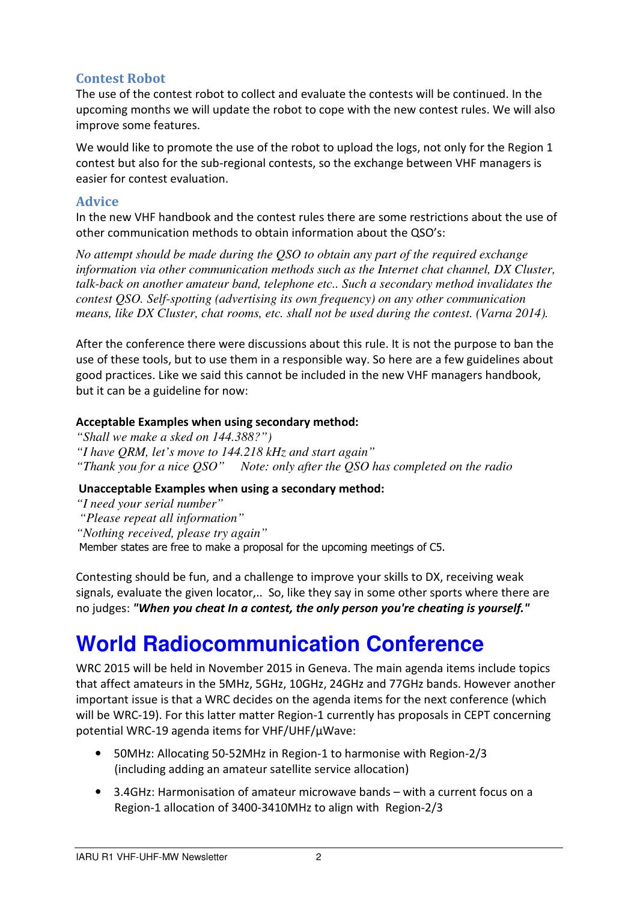### **Contest Robot**

The use of the contest robot to collect and evaluate the contests will be continued. In the upcoming months we will update the robot to cope with the new contest rules. We will also improve some features.

We would like to promote the use of the robot to upload the logs, not only for the Region 1 contest but also for the sub-regional contests, so the exchange between VHF managers is easier for contest evaluation.

#### **Advice**

In the new VHF handbook and the contest rules there are some restrictions about the use of other communication methods to obtain information about the QSO's:

*No attempt should be made during the QSO to obtain any part of the required exchange information via other communication methods such as the Internet chat channel, DX Cluster, talk-back on another amateur band, telephone etc.. Such a secondary method invalidates the contest QSO. Self-spotting (advertising its own frequency) on any other communication means, like DX Cluster, chat rooms, etc. shall not be used during the contest. (Varna 2014).* 

After the conference there were discussions about this rule. It is not the purpose to ban the use of these tools, but to use them in a responsible way. So here are a few guidelines about good practices. Like we said this cannot be included in the new VHF managers handbook, but it can be a guideline for now:

#### **Acceptable Examples when using secondary method:**

- *"Shall we make a sked on 144.388?")*
- *"I have QRM, let's move to 144.218 kHz and start again"*
- *"Thank you for a nice QSO" Note: only after the QSO has completed on the radio*

#### **Unacceptable Examples when using a secondary method:**

- *"I need your serial number"*
- *"Please repeat all information"*
- *"Nothing received, please try again"*

Member states are free to make a proposal for the upcoming meetings of C5.

Contesting should be fun, and a challenge to improve your skills to DX, receiving weak signals, evaluate the given locator,.. So, like they say in some other sports where there are no judges: *"When you cheat In a contest, the only person you're cheating is yourself."*

## **World Radiocommunication Conference**

WRC 2015 will be held in November 2015 in Geneva. The main agenda items include topics that affect amateurs in the 5MHz, 5GHz, 10GHz, 24GHz and 77GHz bands. However another important issue is that a WRC decides on the agenda items for the next conference (which will be WRC-19). For this latter matter Region-1 currently has proposals in CEPT concerning potential WRC-19 agenda items for VHF/UHF/µWave:

- 50MHz: Allocating 50-52MHz in Region-1 to harmonise with Region-2/3 (including adding an amateur satellite service allocation)
- 3.4GHz: Harmonisation of amateur microwave bands with a current focus on a Region-1 allocation of 3400-3410MHz to align with Region-2/3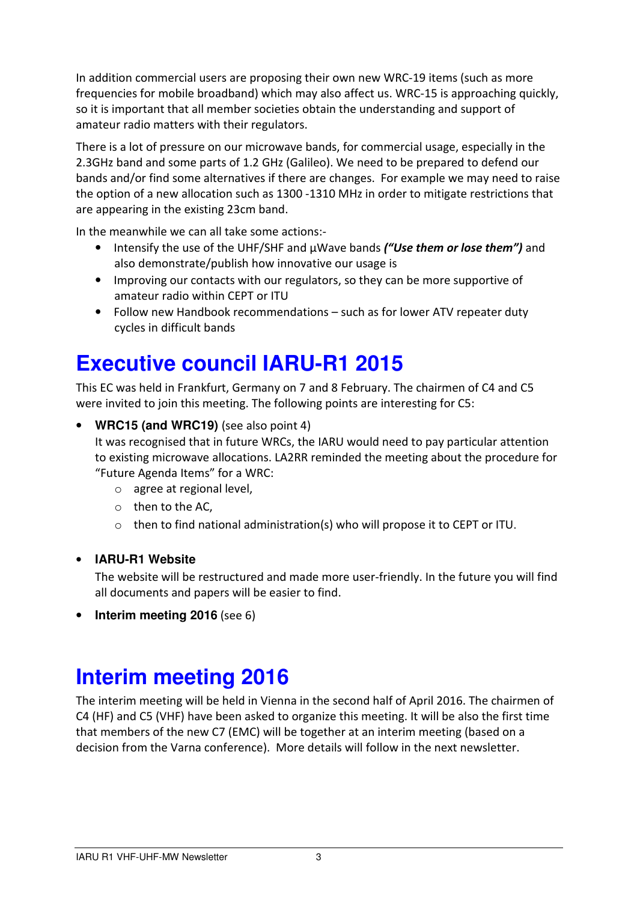In addition commercial users are proposing their own new WRC-19 items (such as more frequencies for mobile broadband) which may also affect us. WRC-15 is approaching quickly, so it is important that all member societies obtain the understanding and support of amateur radio matters with their regulators.

There is a lot of pressure on our microwave bands, for commercial usage, especially in the 2.3GHz band and some parts of 1.2 GHz (Galileo). We need to be prepared to defend our bands and/or find some alternatives if there are changes. For example we may need to raise the option of a new allocation such as 1300 -1310 MHz in order to mitigate restrictions that are appearing in the existing 23cm band.

In the meanwhile we can all take some actions:-

- Intensify the use of the UHF/SHF and µWave bands *("Use them or lose them")* and also demonstrate/publish how innovative our usage is
- Improving our contacts with our regulators, so they can be more supportive of amateur radio within CEPT or ITU
- Follow new Handbook recommendations such as for lower ATV repeater duty cycles in difficult bands

### **Executive council IARU-R1 2015**

This EC was held in Frankfurt, Germany on 7 and 8 February. The chairmen of C4 and C5 were invited to join this meeting. The following points are interesting for C5:

#### • **WRC15 (and WRC19)** (see also point 4)

It was recognised that in future WRCs, the IARU would need to pay particular attention to existing microwave allocations. LA2RR reminded the meeting about the procedure for "Future Agenda Items" for a WRC:

- o agree at regional level,
- o then to the AC,
- $\circ$  then to find national administration(s) who will propose it to CEPT or ITU.

#### • **IARU-R1 Website**

The website will be restructured and made more user-friendly. In the future you will find all documents and papers will be easier to find.

• **Interim meeting 2016** (see 6)

### **Interim meeting 2016**

The interim meeting will be held in Vienna in the second half of April 2016. The chairmen of C4 (HF) and C5 (VHF) have been asked to organize this meeting. It will be also the first time that members of the new C7 (EMC) will be together at an interim meeting (based on a decision from the Varna conference). More details will follow in the next newsletter.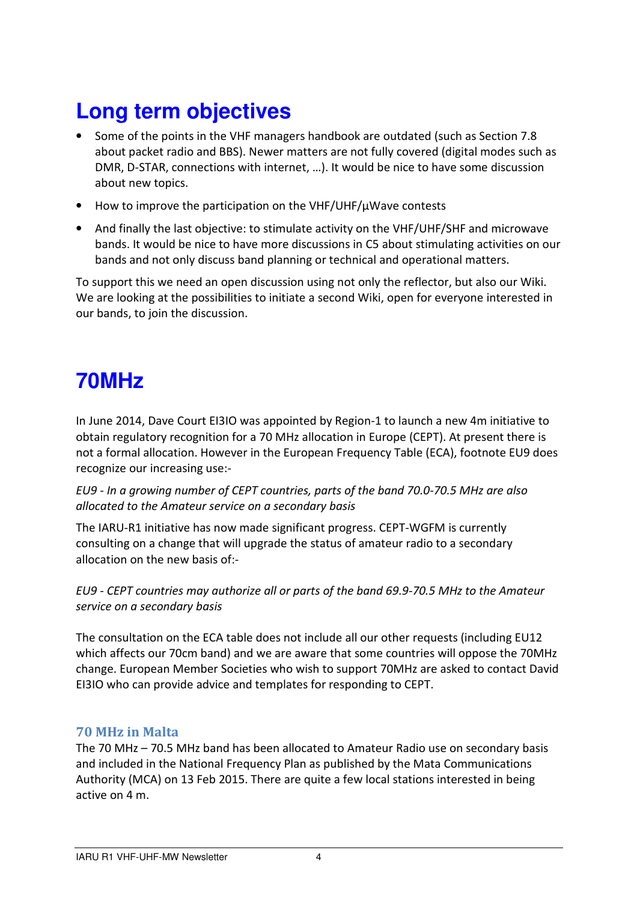# **Long term objectives**

- Some of the points in the VHF managers handbook are outdated (such as Section 7.8 about packet radio and BBS). Newer matters are not fully covered (digital modes such as DMR, D-STAR, connections with internet, …). It would be nice to have some discussion about new topics.
- How to improve the participation on the VHF/UHF/µWave contests
- And finally the last objective: to stimulate activity on the VHF/UHF/SHF and microwave bands. It would be nice to have more discussions in C5 about stimulating activities on our bands and not only discuss band planning or technical and operational matters.

To support this we need an open discussion using not only the reflector, but also our Wiki. We are looking at the possibilities to initiate a second Wiki, open for everyone interested in our bands, to join the discussion.

### **70MHz**

In June 2014, Dave Court EI3IO was appointed by Region-1 to launch a new 4m initiative to obtain regulatory recognition for a 70 MHz allocation in Europe (CEPT). At present there is not a formal allocation. However in the European Frequency Table (ECA), footnote EU9 does recognize our increasing use:-

*EU9 - In a growing number of CEPT countries, parts of the band 70.0-70.5 MHz are also allocated to the Amateur service on a secondary basis* 

The IARU-R1 initiative has now made significant progress. CEPT-WGFM is currently consulting on a change that will upgrade the status of amateur radio to a secondary allocation on the new basis of:-

*EU9 - CEPT countries may authorize all or parts of the band 69.9-70.5 MHz to the Amateur service on a secondary basis* 

The consultation on the ECA table does not include all our other requests (including EU12 which affects our 70cm band) and we are aware that some countries will oppose the 70MHz change. European Member Societies who wish to support 70MHz are asked to contact David EI3IO who can provide advice and templates for responding to CEPT.

#### **70 MHz in Malta**

The 70 MHz – 70.5 MHz band has been allocated to Amateur Radio use on secondary basis and included in the National Frequency Plan as published by the Mata Communications Authority (MCA) on 13 Feb 2015. There are quite a few local stations interested in being active on 4 m.